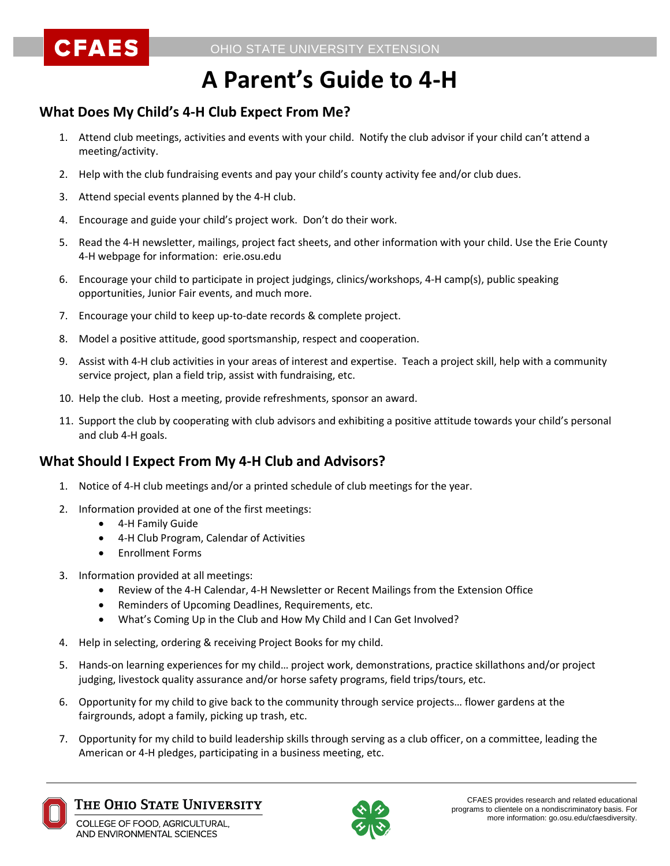# **A Parent's Guide to 4-H**

## **What Does My Child's 4-H Club Expect From Me?**

- 1. Attend club meetings, activities and events with your child. Notify the club advisor if your child can't attend a meeting/activity.
- 2. Help with the club fundraising events and pay your child's county activity fee and/or club dues.
- 3. Attend special events planned by the 4-H club.

**CFAES** 

- 4. Encourage and guide your child's project work. Don't do their work.
- 5. Read the 4-H newsletter, mailings, project fact sheets, and other information with your child. Use the Erie County 4-H webpage for information: erie.osu.edu
- 6. Encourage your child to participate in project judgings, clinics/workshops, 4-H camp(s), public speaking opportunities, Junior Fair events, and much more.
- 7. Encourage your child to keep up-to-date records & complete project.
- 8. Model a positive attitude, good sportsmanship, respect and cooperation.
- 9. Assist with 4-H club activities in your areas of interest and expertise. Teach a project skill, help with a community service project, plan a field trip, assist with fundraising, etc.
- 10. Help the club. Host a meeting, provide refreshments, sponsor an award.
- 11. Support the club by cooperating with club advisors and exhibiting a positive attitude towards your child's personal and club 4-H goals.

## **What Should I Expect From My 4-H Club and Advisors?**

- 1. Notice of 4-H club meetings and/or a printed schedule of club meetings for the year.
- 2. Information provided at one of the first meetings:
	- 4-H Family Guide
	- 4-H Club Program, Calendar of Activities
	- Enrollment Forms
- 3. Information provided at all meetings:
	- Review of the 4-H Calendar, 4-H Newsletter or Recent Mailings from the Extension Office
	- Reminders of Upcoming Deadlines, Requirements, etc.
	- What's Coming Up in the Club and How My Child and I Can Get Involved?
- 4. Help in selecting, ordering & receiving Project Books for my child.
- 5. Hands-on learning experiences for my child… project work, demonstrations, practice skillathons and/or project judging, livestock quality assurance and/or horse safety programs, field trips/tours, etc.
- 6. Opportunity for my child to give back to the community through service projects… flower gardens at the fairgrounds, adopt a family, picking up trash, etc.
- 7. Opportunity for my child to build leadership skills through serving as a club officer, on a committee, leading the American or 4-H pledges, participating in a business meeting, etc.



### The Ohio State University